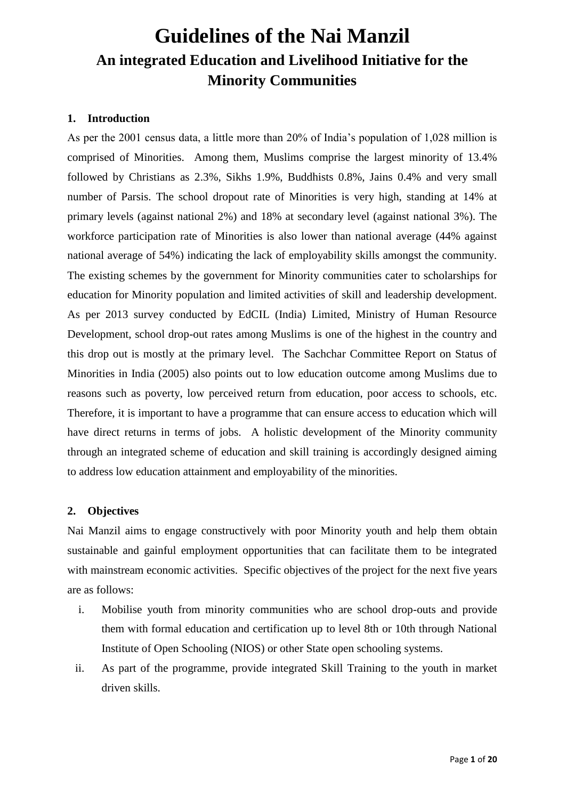# **Guidelines of the Nai Manzil An integrated Education and Livelihood Initiative for the Minority Communities**

# **1. Introduction**

As per the 2001 census data, a little more than 20% of India"s population of 1,028 million is comprised of Minorities. Among them, Muslims comprise the largest minority of 13.4% followed by Christians as 2.3%, Sikhs 1.9%, Buddhists 0.8%, Jains 0.4% and very small number of Parsis. The school dropout rate of Minorities is very high, standing at 14% at primary levels (against national 2%) and 18% at secondary level (against national 3%). The workforce participation rate of Minorities is also lower than national average (44% against national average of 54%) indicating the lack of employability skills amongst the community. The existing schemes by the government for Minority communities cater to scholarships for education for Minority population and limited activities of skill and leadership development. As per 2013 survey conducted by EdCIL (India) Limited, Ministry of Human Resource Development, school drop-out rates among Muslims is one of the highest in the country and this drop out is mostly at the primary level. The Sachchar Committee Report on Status of Minorities in India (2005) also points out to low education outcome among Muslims due to reasons such as poverty, low perceived return from education, poor access to schools, etc. Therefore, it is important to have a programme that can ensure access to education which will have direct returns in terms of jobs. A holistic development of the Minority community through an integrated scheme of education and skill training is accordingly designed aiming to address low education attainment and employability of the minorities.

# **2. Objectives**

Nai Manzil aims to engage constructively with poor Minority youth and help them obtain sustainable and gainful employment opportunities that can facilitate them to be integrated with mainstream economic activities. Specific objectives of the project for the next five years are as follows:

- i. Mobilise youth from minority communities who are school drop-outs and provide them with formal education and certification up to level 8th or 10th through National Institute of Open Schooling (NIOS) or other State open schooling systems.
- ii. As part of the programme, provide integrated Skill Training to the youth in market driven skills.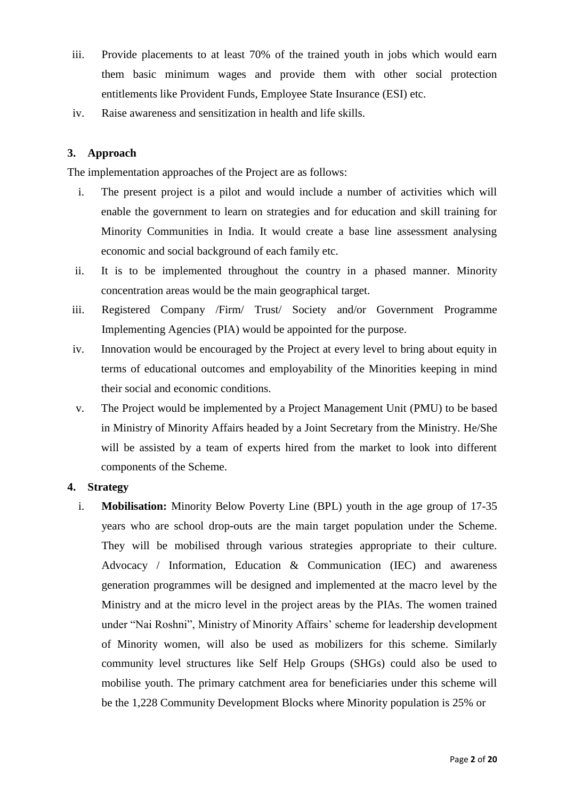- iii. Provide placements to at least 70% of the trained youth in jobs which would earn them basic minimum wages and provide them with other social protection entitlements like Provident Funds, Employee State Insurance (ESI) etc.
- iv. Raise awareness and sensitization in health and life skills.

# **3. Approach**

The implementation approaches of the Project are as follows:

- i. The present project is a pilot and would include a number of activities which will enable the government to learn on strategies and for education and skill training for Minority Communities in India. It would create a base line assessment analysing economic and social background of each family etc.
- ii. It is to be implemented throughout the country in a phased manner. Minority concentration areas would be the main geographical target.
- iii. Registered Company /Firm/ Trust/ Society and/or Government Programme Implementing Agencies (PIA) would be appointed for the purpose.
- iv. Innovation would be encouraged by the Project at every level to bring about equity in terms of educational outcomes and employability of the Minorities keeping in mind their social and economic conditions.
- v. The Project would be implemented by a Project Management Unit (PMU) to be based in Ministry of Minority Affairs headed by a Joint Secretary from the Ministry. He/She will be assisted by a team of experts hired from the market to look into different components of the Scheme.

#### **4. Strategy**

i. **Mobilisation:** Minority Below Poverty Line (BPL) youth in the age group of 17-35 years who are school drop-outs are the main target population under the Scheme. They will be mobilised through various strategies appropriate to their culture. Advocacy / Information, Education & Communication (IEC) and awareness generation programmes will be designed and implemented at the macro level by the Ministry and at the micro level in the project areas by the PIAs. The women trained under "Nai Roshni", Ministry of Minority Affairs" scheme for leadership development of Minority women, will also be used as mobilizers for this scheme. Similarly community level structures like Self Help Groups (SHGs) could also be used to mobilise youth. The primary catchment area for beneficiaries under this scheme will be the 1,228 Community Development Blocks where Minority population is 25% or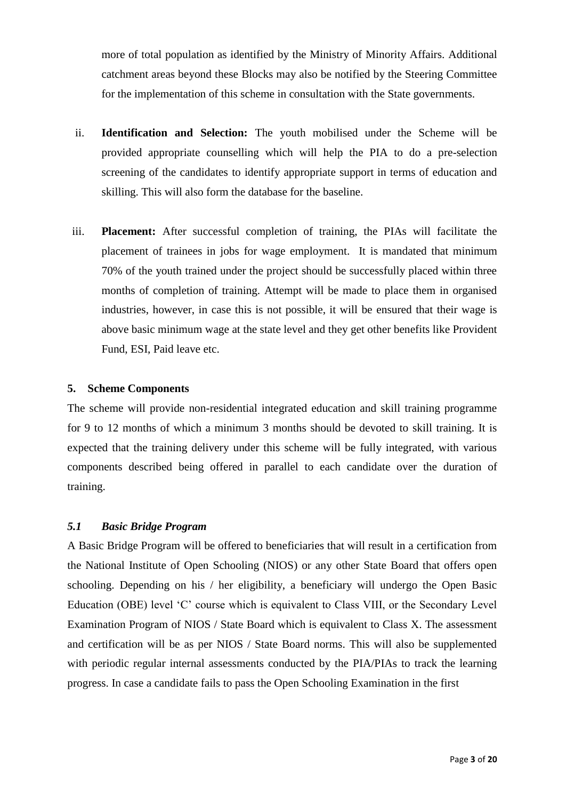more of total population as identified by the Ministry of Minority Affairs. Additional catchment areas beyond these Blocks may also be notified by the Steering Committee for the implementation of this scheme in consultation with the State governments.

- ii. **Identification and Selection:** The youth mobilised under the Scheme will be provided appropriate counselling which will help the PIA to do a pre-selection screening of the candidates to identify appropriate support in terms of education and skilling. This will also form the database for the baseline.
- iii. **Placement:** After successful completion of training, the PIAs will facilitate the placement of trainees in jobs for wage employment. It is mandated that minimum 70% of the youth trained under the project should be successfully placed within three months of completion of training. Attempt will be made to place them in organised industries, however, in case this is not possible, it will be ensured that their wage is above basic minimum wage at the state level and they get other benefits like Provident Fund, ESI, Paid leave etc.

#### **5. Scheme Components**

The scheme will provide non-residential integrated education and skill training programme for 9 to 12 months of which a minimum 3 months should be devoted to skill training. It is expected that the training delivery under this scheme will be fully integrated, with various components described being offered in parallel to each candidate over the duration of training.

#### *5.1 Basic Bridge Program*

A Basic Bridge Program will be offered to beneficiaries that will result in a certification from the National Institute of Open Schooling (NIOS) or any other State Board that offers open schooling. Depending on his / her eligibility, a beneficiary will undergo the Open Basic Education (OBE) level "C" course which is equivalent to Class VIII, or the Secondary Level Examination Program of NIOS / State Board which is equivalent to Class X. The assessment and certification will be as per NIOS / State Board norms. This will also be supplemented with periodic regular internal assessments conducted by the PIA/PIAs to track the learning progress. In case a candidate fails to pass the Open Schooling Examination in the first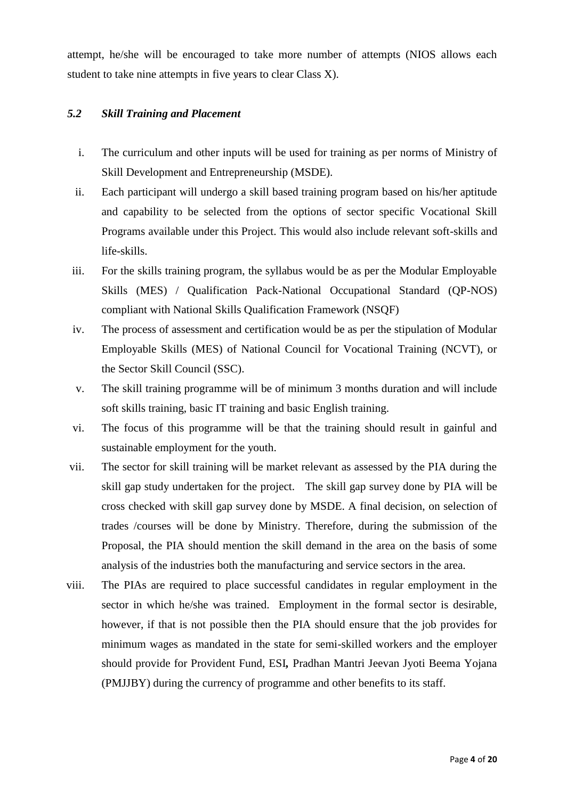attempt, he/she will be encouraged to take more number of attempts (NIOS allows each student to take nine attempts in five years to clear Class X).

# *5.2 Skill Training and Placement*

- i. The curriculum and other inputs will be used for training as per norms of Ministry of Skill Development and Entrepreneurship (MSDE).
- ii. Each participant will undergo a skill based training program based on his/her aptitude and capability to be selected from the options of sector specific Vocational Skill Programs available under this Project. This would also include relevant soft-skills and life-skills.
- iii. For the skills training program, the syllabus would be as per the Modular Employable Skills (MES) / Qualification Pack-National Occupational Standard (QP-NOS) compliant with National Skills Qualification Framework (NSQF)
- iv. The process of assessment and certification would be as per the stipulation of Modular Employable Skills (MES) of National Council for Vocational Training (NCVT), or the Sector Skill Council (SSC).
- v. The skill training programme will be of minimum 3 months duration and will include soft skills training, basic IT training and basic English training.
- vi. The focus of this programme will be that the training should result in gainful and sustainable employment for the youth.
- vii. The sector for skill training will be market relevant as assessed by the PIA during the skill gap study undertaken for the project. The skill gap survey done by PIA will be cross checked with skill gap survey done by MSDE. A final decision, on selection of trades /courses will be done by Ministry. Therefore, during the submission of the Proposal, the PIA should mention the skill demand in the area on the basis of some analysis of the industries both the manufacturing and service sectors in the area.
- viii. The PIAs are required to place successful candidates in regular employment in the sector in which he/she was trained. Employment in the formal sector is desirable, however, if that is not possible then the PIA should ensure that the job provides for minimum wages as mandated in the state for semi-skilled workers and the employer should provide for Provident Fund, ESI*,* Pradhan Mantri Jeevan Jyoti Beema Yojana (PMJJBY) during the currency of programme and other benefits to its staff.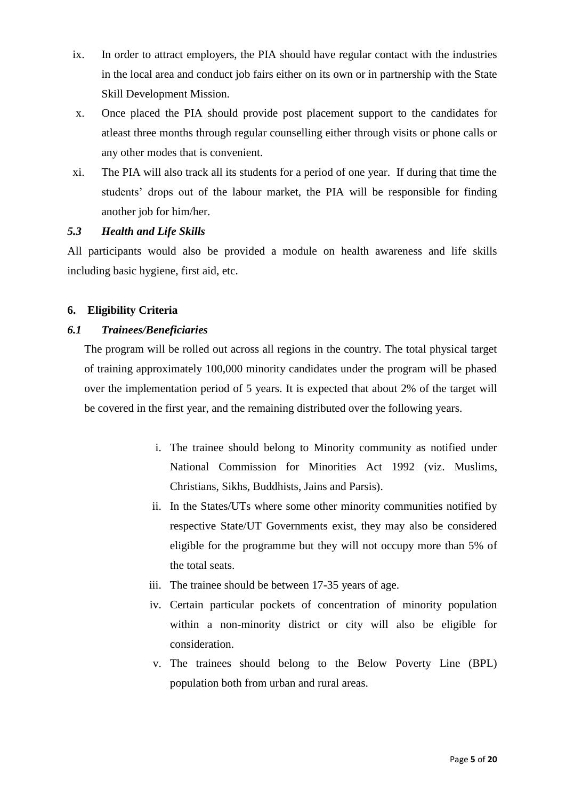- ix. In order to attract employers, the PIA should have regular contact with the industries in the local area and conduct job fairs either on its own or in partnership with the State Skill Development Mission.
- x. Once placed the PIA should provide post placement support to the candidates for atleast three months through regular counselling either through visits or phone calls or any other modes that is convenient.
- xi. The PIA will also track all its students for a period of one year. If during that time the students" drops out of the labour market, the PIA will be responsible for finding another job for him/her.

# *5.3 Health and Life Skills*

All participants would also be provided a module on health awareness and life skills including basic hygiene, first aid, etc.

# **6. Eligibility Criteria**

# *6.1 Trainees/Beneficiaries*

The program will be rolled out across all regions in the country. The total physical target of training approximately 100,000 minority candidates under the program will be phased over the implementation period of 5 years. It is expected that about 2% of the target will be covered in the first year, and the remaining distributed over the following years.

- i. The trainee should belong to Minority community as notified under National Commission for Minorities Act 1992 (viz. Muslims, Christians, Sikhs, Buddhists, Jains and Parsis).
- ii. In the States/UTs where some other minority communities notified by respective State/UT Governments exist, they may also be considered eligible for the programme but they will not occupy more than 5% of the total seats.
- iii. The trainee should be between 17-35 years of age.
- iv. Certain particular pockets of concentration of minority population within a non-minority district or city will also be eligible for consideration.
- v. The trainees should belong to the Below Poverty Line (BPL) population both from urban and rural areas.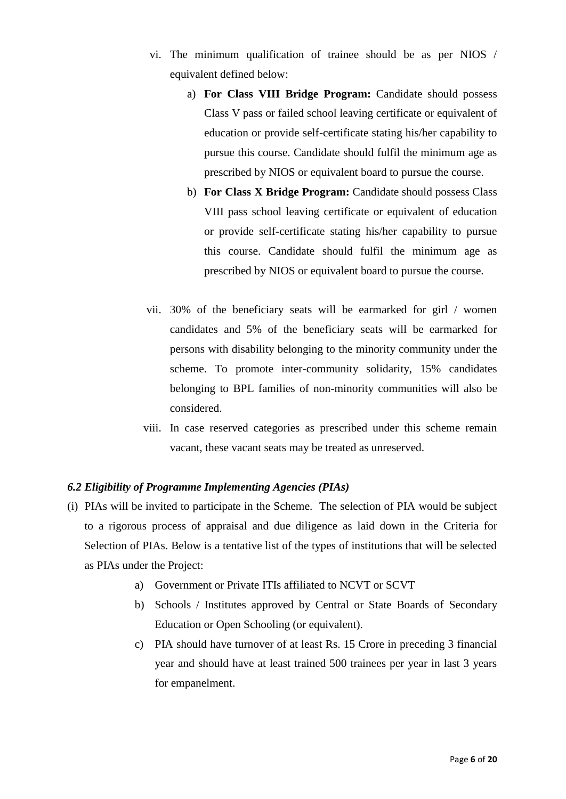- vi. The minimum qualification of trainee should be as per NIOS / equivalent defined below:
	- a) **For Class VIII Bridge Program:** Candidate should possess Class V pass or failed school leaving certificate or equivalent of education or provide self-certificate stating his/her capability to pursue this course. Candidate should fulfil the minimum age as prescribed by NIOS or equivalent board to pursue the course.
	- b) **For Class X Bridge Program:** Candidate should possess Class VIII pass school leaving certificate or equivalent of education or provide self-certificate stating his/her capability to pursue this course. Candidate should fulfil the minimum age as prescribed by NIOS or equivalent board to pursue the course.
- vii. 30% of the beneficiary seats will be earmarked for girl / women candidates and 5% of the beneficiary seats will be earmarked for persons with disability belonging to the minority community under the scheme. To promote inter-community solidarity, 15% candidates belonging to BPL families of non-minority communities will also be considered.
- viii. In case reserved categories as prescribed under this scheme remain vacant, these vacant seats may be treated as unreserved.

#### *6.2 Eligibility of Programme Implementing Agencies (PIAs)*

- (i) PIAs will be invited to participate in the Scheme. The selection of PIA would be subject to a rigorous process of appraisal and due diligence as laid down in the Criteria for Selection of PIAs. Below is a tentative list of the types of institutions that will be selected as PIAs under the Project:
	- a) Government or Private ITIs affiliated to NCVT or SCVT
	- b) Schools / Institutes approved by Central or State Boards of Secondary Education or Open Schooling (or equivalent).
	- c) PIA should have turnover of at least Rs. 15 Crore in preceding 3 financial year and should have at least trained 500 trainees per year in last 3 years for empanelment.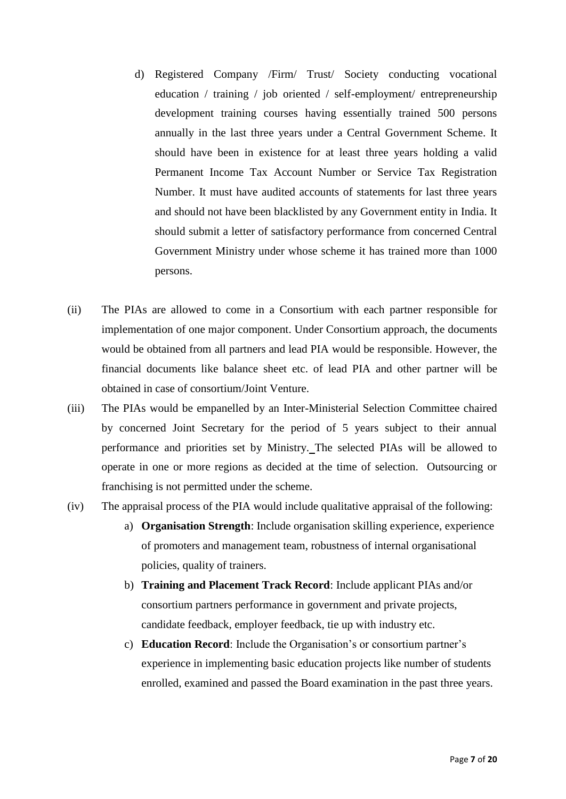- d) Registered Company /Firm/ Trust/ Society conducting vocational education / training / job oriented / self-employment/ entrepreneurship development training courses having essentially trained 500 persons annually in the last three years under a Central Government Scheme. It should have been in existence for at least three years holding a valid Permanent Income Tax Account Number or Service Tax Registration Number. It must have audited accounts of statements for last three years and should not have been blacklisted by any Government entity in India. It should submit a letter of satisfactory performance from concerned Central Government Ministry under whose scheme it has trained more than 1000 persons.
- (ii) The PIAs are allowed to come in a Consortium with each partner responsible for implementation of one major component. Under Consortium approach, the documents would be obtained from all partners and lead PIA would be responsible. However, the financial documents like balance sheet etc. of lead PIA and other partner will be obtained in case of consortium/Joint Venture.
- (iii) The PIAs would be empanelled by an Inter-Ministerial Selection Committee chaired by concerned Joint Secretary for the period of 5 years subject to their annual performance and priorities set by Ministry. The selected PIAs will be allowed to operate in one or more regions as decided at the time of selection. Outsourcing or franchising is not permitted under the scheme.
- (iv) The appraisal process of the PIA would include qualitative appraisal of the following:
	- a) **Organisation Strength**: Include organisation skilling experience, experience of promoters and management team, robustness of internal organisational policies, quality of trainers.
	- b) **Training and Placement Track Record**: Include applicant PIAs and/or consortium partners performance in government and private projects, candidate feedback, employer feedback, tie up with industry etc.
	- c) **Education Record**: Include the Organisation's or consortium partner's experience in implementing basic education projects like number of students enrolled, examined and passed the Board examination in the past three years.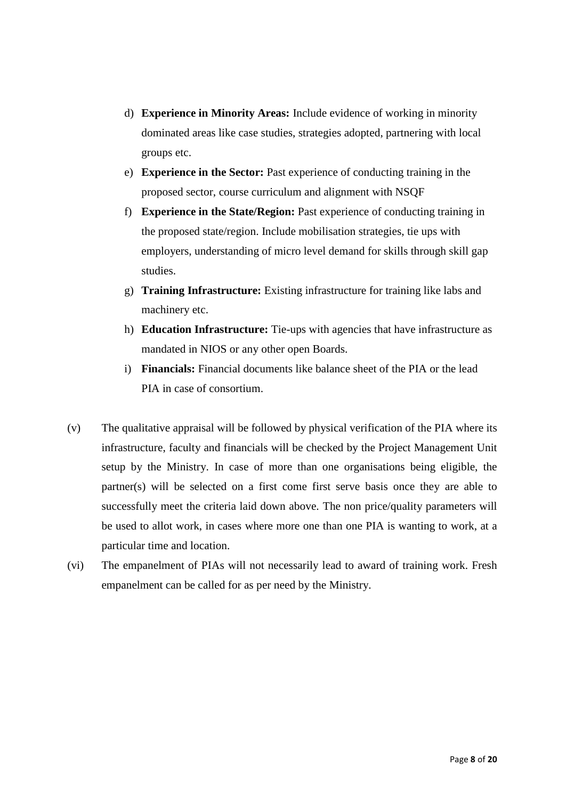- d) **Experience in Minority Areas:** Include evidence of working in minority dominated areas like case studies, strategies adopted, partnering with local groups etc.
- e) **Experience in the Sector:** Past experience of conducting training in the proposed sector, course curriculum and alignment with NSQF
- f) **Experience in the State/Region:** Past experience of conducting training in the proposed state/region. Include mobilisation strategies, tie ups with employers, understanding of micro level demand for skills through skill gap studies.
- g) **Training Infrastructure:** Existing infrastructure for training like labs and machinery etc.
- h) **Education Infrastructure:** Tie-ups with agencies that have infrastructure as mandated in NIOS or any other open Boards.
- i) **Financials:** Financial documents like balance sheet of the PIA or the lead PIA in case of consortium.
- (v) The qualitative appraisal will be followed by physical verification of the PIA where its infrastructure, faculty and financials will be checked by the Project Management Unit setup by the Ministry. In case of more than one organisations being eligible, the partner(s) will be selected on a first come first serve basis once they are able to successfully meet the criteria laid down above. The non price/quality parameters will be used to allot work, in cases where more one than one PIA is wanting to work, at a particular time and location.
- (vi) The empanelment of PIAs will not necessarily lead to award of training work. Fresh empanelment can be called for as per need by the Ministry.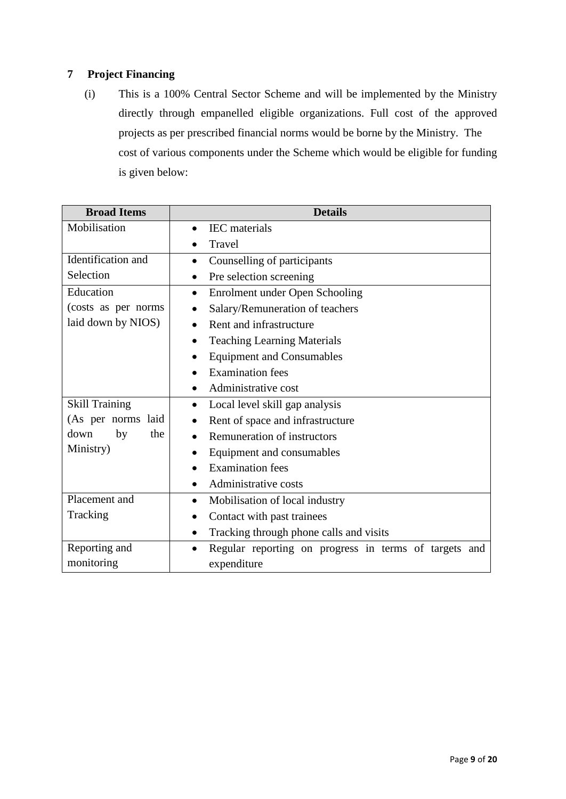# **7 Project Financing**

(i) This is a 100% Central Sector Scheme and will be implemented by the Ministry directly through empanelled eligible organizations. Full cost of the approved projects as per prescribed financial norms would be borne by the Ministry. The cost of various components under the Scheme which would be eligible for funding is given below:

| <b>Broad Items</b>    | <b>Details</b>                                                        |  |  |  |  |
|-----------------------|-----------------------------------------------------------------------|--|--|--|--|
| Mobilisation          | <b>IEC</b> materials                                                  |  |  |  |  |
|                       | Travel                                                                |  |  |  |  |
| Identification and    | Counselling of participants<br>$\bullet$                              |  |  |  |  |
| Selection             | Pre selection screening<br>$\bullet$                                  |  |  |  |  |
| Education             | Enrolment under Open Schooling<br>$\bullet$                           |  |  |  |  |
| (costs as per norms)  | Salary/Remuneration of teachers                                       |  |  |  |  |
| laid down by NIOS)    | Rent and infrastructure<br>$\bullet$                                  |  |  |  |  |
|                       | <b>Teaching Learning Materials</b>                                    |  |  |  |  |
|                       | <b>Equipment and Consumables</b>                                      |  |  |  |  |
|                       | <b>Examination</b> fees                                               |  |  |  |  |
|                       | Administrative cost                                                   |  |  |  |  |
| <b>Skill Training</b> | Local level skill gap analysis                                        |  |  |  |  |
| (As per norms laid    | Rent of space and infrastructure                                      |  |  |  |  |
| down<br>the<br>by     | Remuneration of instructors                                           |  |  |  |  |
| Ministry)             | Equipment and consumables                                             |  |  |  |  |
|                       | <b>Examination</b> fees                                               |  |  |  |  |
|                       | Administrative costs                                                  |  |  |  |  |
| Placement and         | Mobilisation of local industry<br>$\bullet$                           |  |  |  |  |
| Tracking              | Contact with past trainees<br>$\bullet$                               |  |  |  |  |
|                       | Tracking through phone calls and visits<br>$\bullet$                  |  |  |  |  |
| Reporting and         | Regular reporting on progress in terms of targets<br>and<br>$\bullet$ |  |  |  |  |
| monitoring            | expenditure                                                           |  |  |  |  |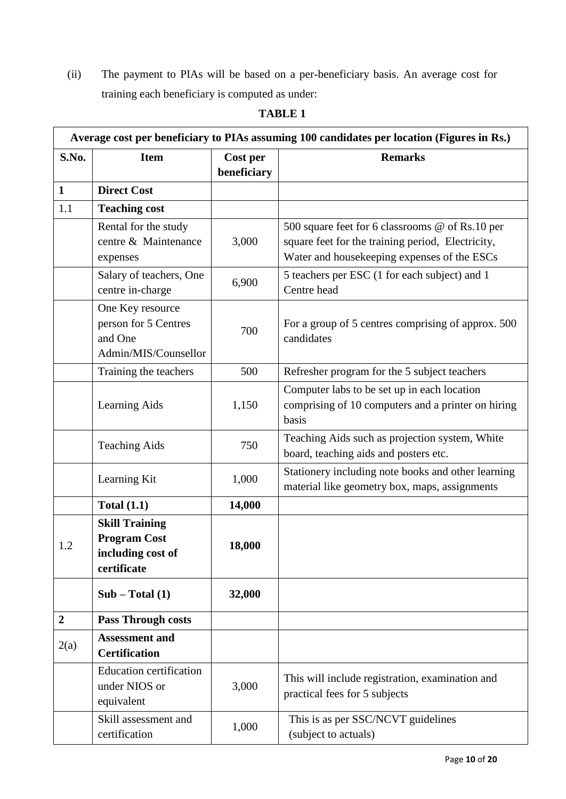(ii) The payment to PIAs will be based on a per-beneficiary basis. An average cost for training each beneficiary is computed as under:

| Average cost per beneficiary to PIAs assuming 100 candidates per location (Figures in Rs.) |                                                                                  |                         |                                                                                                                                                     |  |
|--------------------------------------------------------------------------------------------|----------------------------------------------------------------------------------|-------------------------|-----------------------------------------------------------------------------------------------------------------------------------------------------|--|
| S.No.                                                                                      | <b>Item</b>                                                                      | Cost per<br>beneficiary | <b>Remarks</b>                                                                                                                                      |  |
| $\mathbf{1}$                                                                               | <b>Direct Cost</b>                                                               |                         |                                                                                                                                                     |  |
| 1.1                                                                                        | <b>Teaching cost</b>                                                             |                         |                                                                                                                                                     |  |
|                                                                                            | Rental for the study<br>centre & Maintenance<br>expenses                         | 3,000                   | 500 square feet for 6 classrooms @ of Rs.10 per<br>square feet for the training period, Electricity,<br>Water and housekeeping expenses of the ESCs |  |
|                                                                                            | Salary of teachers, One<br>centre in-charge                                      | 6,900                   | 5 teachers per ESC (1 for each subject) and 1<br>Centre head                                                                                        |  |
|                                                                                            | One Key resource<br>person for 5 Centres<br>and One<br>Admin/MIS/Counsellor      | 700                     | For a group of 5 centres comprising of approx. 500<br>candidates                                                                                    |  |
|                                                                                            | Training the teachers                                                            | 500                     | Refresher program for the 5 subject teachers                                                                                                        |  |
|                                                                                            | <b>Learning Aids</b>                                                             | 1,150                   | Computer labs to be set up in each location<br>comprising of 10 computers and a printer on hiring<br>basis                                          |  |
|                                                                                            | <b>Teaching Aids</b>                                                             | 750                     | Teaching Aids such as projection system, White<br>board, teaching aids and posters etc.                                                             |  |
|                                                                                            | Learning Kit                                                                     | 1,000                   | Stationery including note books and other learning<br>material like geometry box, maps, assignments                                                 |  |
|                                                                                            | <b>Total (1.1)</b>                                                               | 14,000                  |                                                                                                                                                     |  |
| 1.2                                                                                        | <b>Skill Training</b><br><b>Program Cost</b><br>including cost of<br>certificate | 18,000                  |                                                                                                                                                     |  |
|                                                                                            | $Sub - Total (1)$                                                                | 32,000                  |                                                                                                                                                     |  |
| $\overline{\mathbf{2}}$                                                                    | <b>Pass Through costs</b>                                                        |                         |                                                                                                                                                     |  |
| 2(a)                                                                                       | <b>Assessment and</b><br><b>Certification</b>                                    |                         |                                                                                                                                                     |  |
|                                                                                            | <b>Education certification</b><br>under NIOS or<br>equivalent                    | 3,000                   | This will include registration, examination and<br>practical fees for 5 subjects                                                                    |  |
|                                                                                            | Skill assessment and<br>certification                                            | 1,000                   | This is as per SSC/NCVT guidelines<br>(subject to actuals)                                                                                          |  |

# **TABLE 1**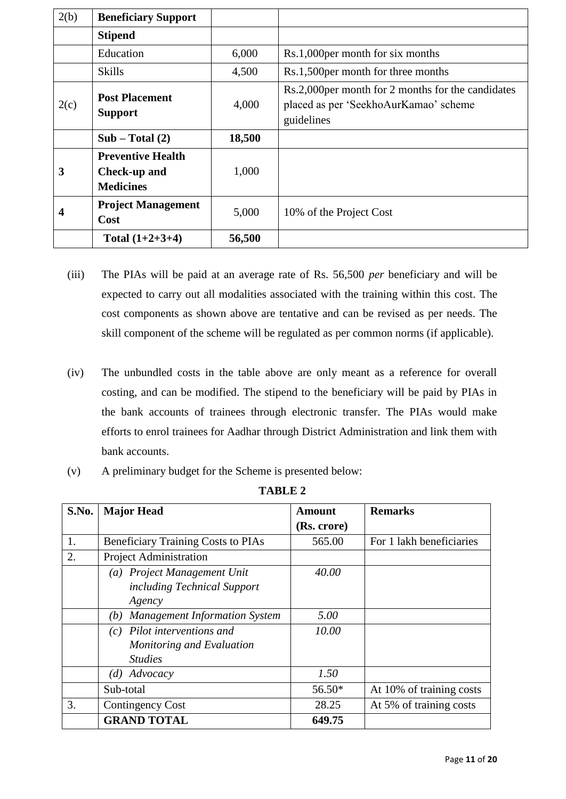| 2(b)            | <b>Beneficiary Support</b>                                   |        |                                                                                                           |
|-----------------|--------------------------------------------------------------|--------|-----------------------------------------------------------------------------------------------------------|
|                 | <b>Stipend</b>                                               |        |                                                                                                           |
|                 | Education                                                    | 6,000  | Rs.1,000 per month for six months                                                                         |
| 4,500<br>Skills |                                                              |        | Rs.1,500 per month for three months                                                                       |
| 2(c)            | <b>Post Placement</b><br><b>Support</b>                      | 4,000  | Rs.2,000 per month for 2 months for the candidates<br>placed as per 'SeekhoAurKamao' scheme<br>guidelines |
|                 | $Sub - Total (2)$                                            | 18,500 |                                                                                                           |
| 3               | <b>Preventive Health</b><br>Check-up and<br><b>Medicines</b> | 1,000  |                                                                                                           |
| 4               | <b>Project Management</b><br>Cost                            | 5,000  | 10% of the Project Cost                                                                                   |
|                 | Total $(1+2+3+4)$                                            | 56,500 |                                                                                                           |

- (iii) The PIAs will be paid at an average rate of Rs. 56,500 *per* beneficiary and will be expected to carry out all modalities associated with the training within this cost. The cost components as shown above are tentative and can be revised as per needs. The skill component of the scheme will be regulated as per common norms (if applicable).
- (iv) The unbundled costs in the table above are only meant as a reference for overall costing, and can be modified. The stipend to the beneficiary will be paid by PIAs in the bank accounts of trainees through electronic transfer. The PIAs would make efforts to enrol trainees for Aadhar through District Administration and link them with bank accounts.
- (v) A preliminary budget for the Scheme is presented below:

| S.No. | <b>Major Head</b>                                                            | <b>Amount</b> | <b>Remarks</b>           |
|-------|------------------------------------------------------------------------------|---------------|--------------------------|
|       |                                                                              | (Rs. crore)   |                          |
| 1.    | <b>Beneficiary Training Costs to PIAs</b>                                    | 565.00        | For 1 lakh beneficiaries |
| 2.    | <b>Project Administration</b>                                                |               |                          |
|       | (a) Project Management Unit<br>including Technical Support<br>Agency         | 40.00         |                          |
|       | <b>Management Information System</b><br>(b)                                  | 5.00          |                          |
|       | $(c)$ Pilot interventions and<br>Monitoring and Evaluation<br><b>Studies</b> | 10.00         |                          |
|       | $(d)$ Advocacy                                                               | 1.50          |                          |
|       | Sub-total                                                                    | $56.50*$      | At 10% of training costs |
| 3.    | Contingency Cost                                                             | 28.25         | At 5% of training costs  |
|       | <b>GRAND TOTAL</b>                                                           | 649.75        |                          |

**TABLE 2**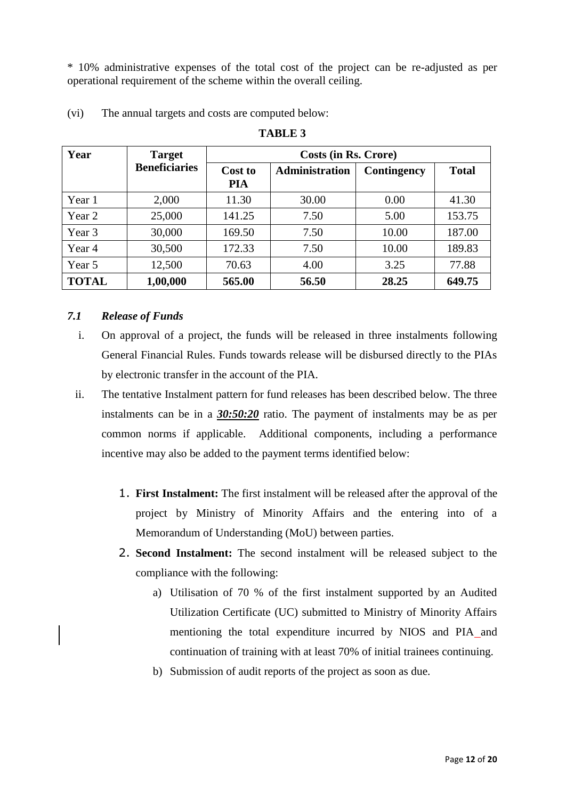\* 10% administrative expenses of the total cost of the project can be re-adjusted as per operational requirement of the scheme within the overall ceiling.

| Year         | <b>Target</b>        | Costs (in Rs. Crore)  |                |             |              |
|--------------|----------------------|-----------------------|----------------|-------------|--------------|
|              | <b>Beneficiaries</b> | Cost to<br><b>PIA</b> | Administration | Contingency | <b>Total</b> |
| Year 1       | 2,000                | 11.30                 | 30.00          | 0.00        | 41.30        |
| Year 2       | 25,000               | 141.25                | 7.50           | 5.00        | 153.75       |
| Year 3       | 30,000               | 169.50                | 7.50           | 10.00       | 187.00       |
| Year 4       | 30,500               | 172.33                | 7.50           | 10.00       | 189.83       |
| Year 5       | 12,500               | 70.63                 | 4.00           | 3.25        | 77.88        |
| <b>TOTAL</b> | 1,00,000             | 565.00                | 56.50          | 28.25       | 649.75       |

#### (vi) The annual targets and costs are computed below:

#### **TABLE 3**

#### *7.1 Release of Funds*

- i. On approval of a project, the funds will be released in three instalments following General Financial Rules. Funds towards release will be disbursed directly to the PIAs by electronic transfer in the account of the PIA.
- ii. The tentative Instalment pattern for fund releases has been described below. The three instalments can be in a *30:50:20* ratio. The payment of instalments may be as per common norms if applicable. Additional components, including a performance incentive may also be added to the payment terms identified below:
	- 1. **First Instalment:** The first instalment will be released after the approval of the project by Ministry of Minority Affairs and the entering into of a Memorandum of Understanding (MoU) between parties.
	- 2. **Second Instalment:** The second instalment will be released subject to the compliance with the following:
		- a) Utilisation of 70 % of the first instalment supported by an Audited Utilization Certificate (UC) submitted to Ministry of Minority Affairs mentioning the total expenditure incurred by NIOS and PIA and continuation of training with at least 70% of initial trainees continuing.
		- b) Submission of audit reports of the project as soon as due.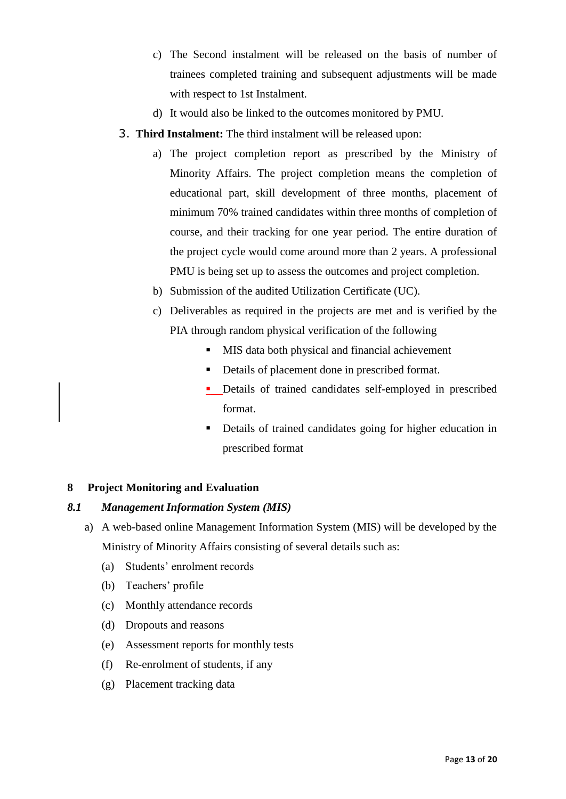- c) The Second instalment will be released on the basis of number of trainees completed training and subsequent adjustments will be made with respect to 1st Instalment.
- d) It would also be linked to the outcomes monitored by PMU.
- 3. **Third Instalment:** The third instalment will be released upon:
	- a) The project completion report as prescribed by the Ministry of Minority Affairs. The project completion means the completion of educational part, skill development of three months, placement of minimum 70% trained candidates within three months of completion of course, and their tracking for one year period. The entire duration of the project cycle would come around more than 2 years. A professional PMU is being set up to assess the outcomes and project completion.
	- b) Submission of the audited Utilization Certificate (UC).
	- c) Deliverables as required in the projects are met and is verified by the PIA through random physical verification of the following
		- **MIS** data both physical and financial achievement
		- Details of placement done in prescribed format.
		- **•** Details of trained candidates self-employed in prescribed format.
		- Details of trained candidates going for higher education in prescribed format

# **8 Project Monitoring and Evaluation**

#### *8.1 Management Information System (MIS)*

- a) A web-based online Management Information System (MIS) will be developed by the Ministry of Minority Affairs consisting of several details such as:
	- (a) Students" enrolment records
	- (b) Teachers' profile
	- (c) Monthly attendance records
	- (d) Dropouts and reasons
	- (e) Assessment reports for monthly tests
	- (f) Re-enrolment of students, if any
	- (g) Placement tracking data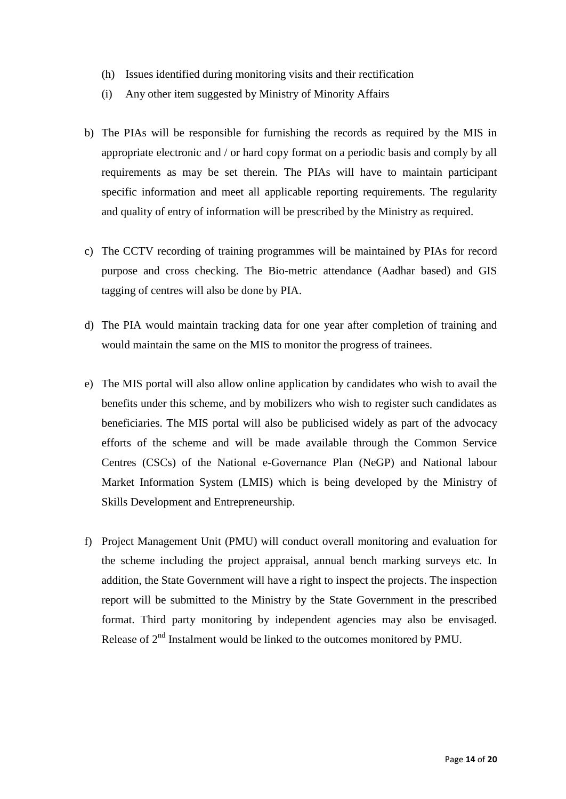- (h) Issues identified during monitoring visits and their rectification
- (i) Any other item suggested by Ministry of Minority Affairs
- b) The PIAs will be responsible for furnishing the records as required by the MIS in appropriate electronic and / or hard copy format on a periodic basis and comply by all requirements as may be set therein. The PIAs will have to maintain participant specific information and meet all applicable reporting requirements. The regularity and quality of entry of information will be prescribed by the Ministry as required.
- c) The CCTV recording of training programmes will be maintained by PIAs for record purpose and cross checking. The Bio-metric attendance (Aadhar based) and GIS tagging of centres will also be done by PIA.
- d) The PIA would maintain tracking data for one year after completion of training and would maintain the same on the MIS to monitor the progress of trainees.
- e) The MIS portal will also allow online application by candidates who wish to avail the benefits under this scheme, and by mobilizers who wish to register such candidates as beneficiaries. The MIS portal will also be publicised widely as part of the advocacy efforts of the scheme and will be made available through the Common Service Centres (CSCs) of the National e-Governance Plan (NeGP) and National labour Market Information System (LMIS) which is being developed by the Ministry of Skills Development and Entrepreneurship.
- f) Project Management Unit (PMU) will conduct overall monitoring and evaluation for the scheme including the project appraisal, annual bench marking surveys etc. In addition, the State Government will have a right to inspect the projects. The inspection report will be submitted to the Ministry by the State Government in the prescribed format. Third party monitoring by independent agencies may also be envisaged. Release of  $2<sup>nd</sup>$  Instalment would be linked to the outcomes monitored by PMU.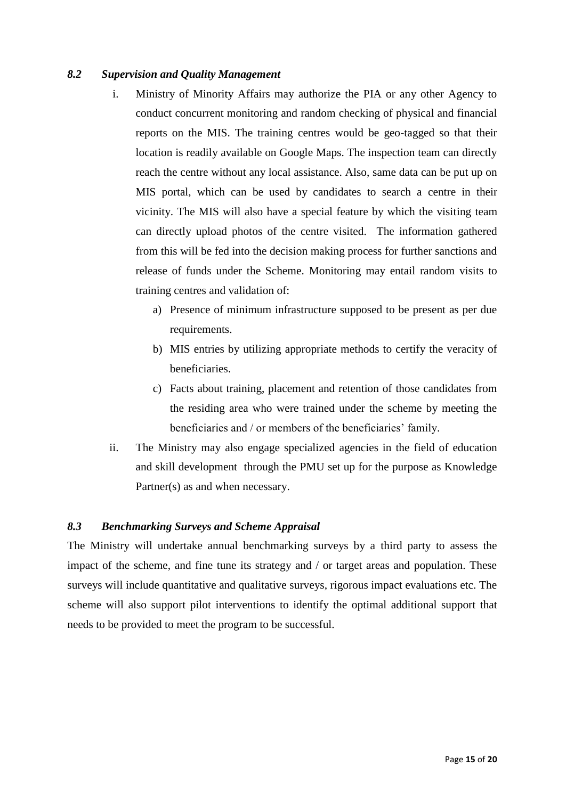#### *8.2 Supervision and Quality Management*

- i. Ministry of Minority Affairs may authorize the PIA or any other Agency to conduct concurrent monitoring and random checking of physical and financial reports on the MIS. The training centres would be geo-tagged so that their location is readily available on Google Maps. The inspection team can directly reach the centre without any local assistance. Also, same data can be put up on MIS portal, which can be used by candidates to search a centre in their vicinity. The MIS will also have a special feature by which the visiting team can directly upload photos of the centre visited.The information gathered from this will be fed into the decision making process for further sanctions and release of funds under the Scheme. Monitoring may entail random visits to training centres and validation of:
	- a) Presence of minimum infrastructure supposed to be present as per due requirements.
	- b) MIS entries by utilizing appropriate methods to certify the veracity of beneficiaries.
	- c) Facts about training, placement and retention of those candidates from the residing area who were trained under the scheme by meeting the beneficiaries and / or members of the beneficiaries' family.
- ii. The Ministry may also engage specialized agencies in the field of education and skill development through the PMU set up for the purpose as Knowledge Partner(s) as and when necessary.

# *8.3 Benchmarking Surveys and Scheme Appraisal*

The Ministry will undertake annual benchmarking surveys by a third party to assess the impact of the scheme, and fine tune its strategy and / or target areas and population. These surveys will include quantitative and qualitative surveys, rigorous impact evaluations etc. The scheme will also support pilot interventions to identify the optimal additional support that needs to be provided to meet the program to be successful.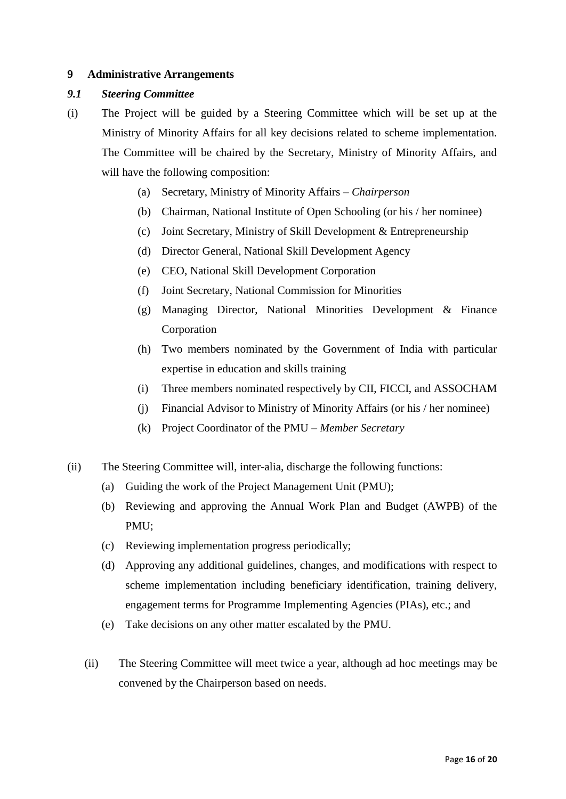#### **9 Administrative Arrangements**

#### *9.1 Steering Committee*

- (i) The Project will be guided by a Steering Committee which will be set up at the Ministry of Minority Affairs for all key decisions related to scheme implementation. The Committee will be chaired by the Secretary, Ministry of Minority Affairs, and will have the following composition:
	- (a) Secretary, Ministry of Minority Affairs *Chairperson*
	- (b) Chairman, National Institute of Open Schooling (or his / her nominee)
	- (c) Joint Secretary, Ministry of Skill Development & Entrepreneurship
	- (d) Director General, National Skill Development Agency
	- (e) CEO, National Skill Development Corporation
	- (f) Joint Secretary, National Commission for Minorities
	- (g) Managing Director, National Minorities Development & Finance Corporation
	- (h) Two members nominated by the Government of India with particular expertise in education and skills training
	- (i) Three members nominated respectively by CII, FICCI, and ASSOCHAM
	- (j) Financial Advisor to Ministry of Minority Affairs (or his / her nominee)
	- (k) Project Coordinator of the PMU *Member Secretary*
- (ii) The Steering Committee will, inter-alia, discharge the following functions:
	- (a) Guiding the work of the Project Management Unit (PMU);
	- (b) Reviewing and approving the Annual Work Plan and Budget (AWPB) of the PMU;
	- (c) Reviewing implementation progress periodically;
	- (d) Approving any additional guidelines, changes, and modifications with respect to scheme implementation including beneficiary identification, training delivery, engagement terms for Programme Implementing Agencies (PIAs), etc.; and
	- (e) Take decisions on any other matter escalated by the PMU.
	- (ii) The Steering Committee will meet twice a year, although ad hoc meetings may be convened by the Chairperson based on needs.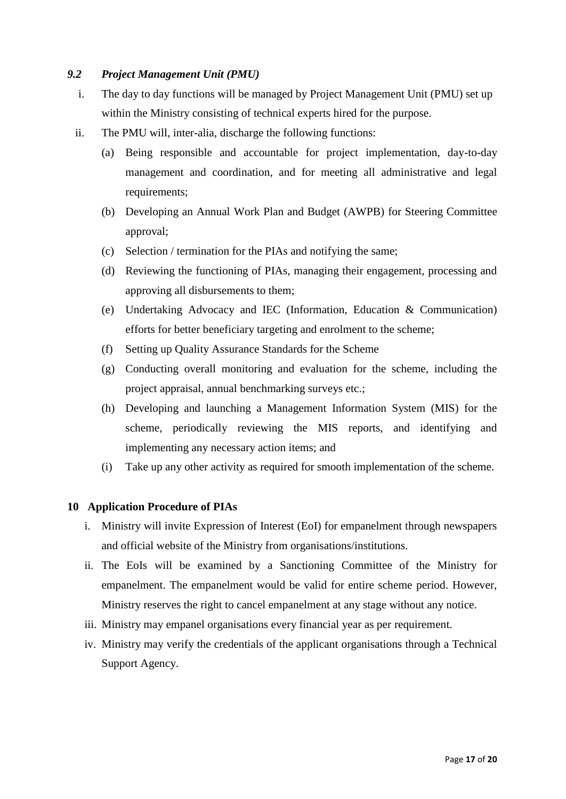#### *9.2 Project Management Unit (PMU)*

- i. The day to day functions will be managed by Project Management Unit (PMU) set up within the Ministry consisting of technical experts hired for the purpose.
- ii. The PMU will, inter-alia, discharge the following functions:
	- (a) Being responsible and accountable for project implementation, day-to-day management and coordination, and for meeting all administrative and legal requirements;
	- (b) Developing an Annual Work Plan and Budget (AWPB) for Steering Committee approval;
	- (c) Selection / termination for the PIAs and notifying the same;
	- (d) Reviewing the functioning of PIAs, managing their engagement, processing and approving all disbursements to them;
	- (e) Undertaking Advocacy and IEC (Information, Education & Communication) efforts for better beneficiary targeting and enrolment to the scheme;
	- (f) Setting up Quality Assurance Standards for the Scheme
	- (g) Conducting overall monitoring and evaluation for the scheme, including the project appraisal, annual benchmarking surveys etc.;
	- (h) Developing and launching a Management Information System (MIS) for the scheme, periodically reviewing the MIS reports, and identifying and implementing any necessary action items; and
	- (i) Take up any other activity as required for smooth implementation of the scheme.

#### **10 Application Procedure of PIAs**

- i. Ministry will invite Expression of Interest (EoI) for empanelment through newspapers and official website of the Ministry from organisations/institutions.
- ii. The EoIs will be examined by a Sanctioning Committee of the Ministry for empanelment. The empanelment would be valid for entire scheme period. However, Ministry reserves the right to cancel empanelment at any stage without any notice.
- iii. Ministry may empanel organisations every financial year as per requirement.
- iv. Ministry may verify the credentials of the applicant organisations through a Technical Support Agency.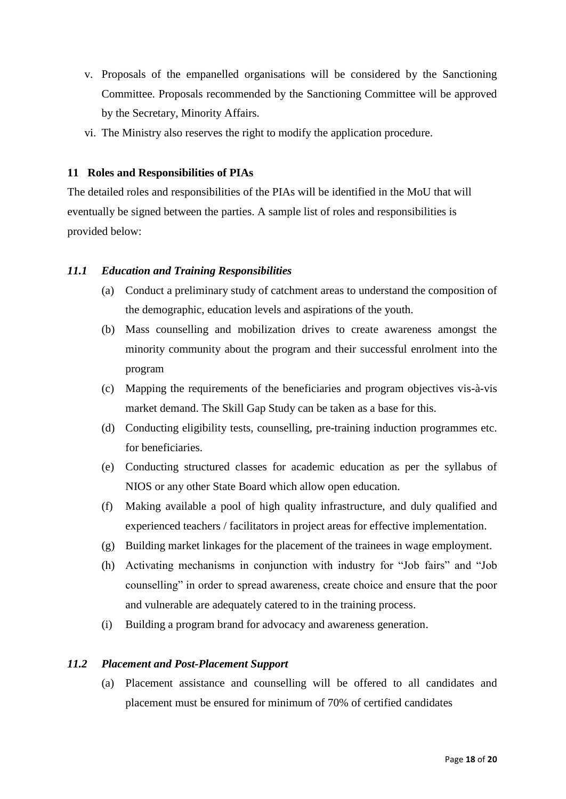- v. Proposals of the empanelled organisations will be considered by the Sanctioning Committee. Proposals recommended by the Sanctioning Committee will be approved by the Secretary, Minority Affairs.
- vi. The Ministry also reserves the right to modify the application procedure.

#### **11 Roles and Responsibilities of PIAs**

The detailed roles and responsibilities of the PIAs will be identified in the MoU that will eventually be signed between the parties. A sample list of roles and responsibilities is provided below:

#### *11.1 Education and Training Responsibilities*

- (a) Conduct a preliminary study of catchment areas to understand the composition of the demographic, education levels and aspirations of the youth.
- (b) Mass counselling and mobilization drives to create awareness amongst the minority community about the program and their successful enrolment into the program
- (c) Mapping the requirements of the beneficiaries and program objectives vis-à-vis market demand. The Skill Gap Study can be taken as a base for this.
- (d) Conducting eligibility tests, counselling, pre-training induction programmes etc. for beneficiaries.
- (e) Conducting structured classes for academic education as per the syllabus of NIOS or any other State Board which allow open education.
- (f) Making available a pool of high quality infrastructure, and duly qualified and experienced teachers / facilitators in project areas for effective implementation.
- (g) Building market linkages for the placement of the trainees in wage employment.
- (h) Activating mechanisms in conjunction with industry for "Job fairs" and "Job counselling" in order to spread awareness, create choice and ensure that the poor and vulnerable are adequately catered to in the training process.
- (i) Building a program brand for advocacy and awareness generation.

#### *11.2 Placement and Post-Placement Support*

(a) Placement assistance and counselling will be offered to all candidates and placement must be ensured for minimum of 70% of certified candidates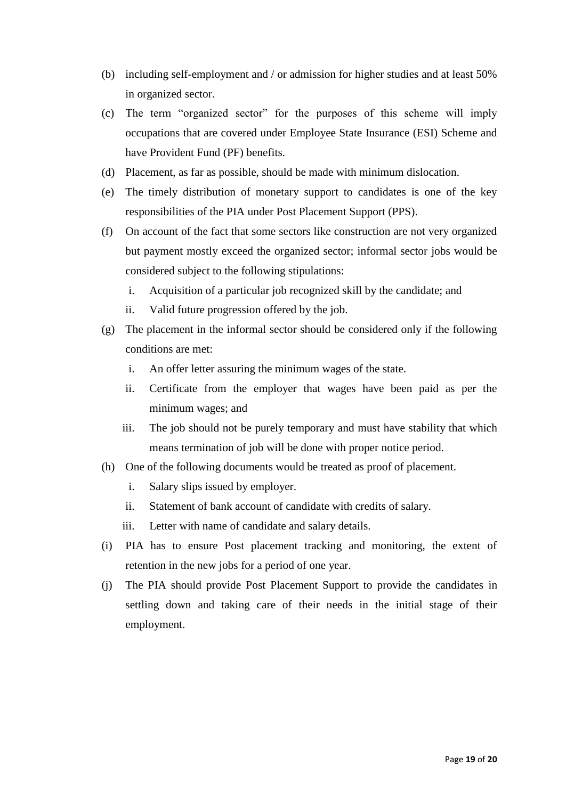- (b) including self-employment and / or admission for higher studies and at least 50% in organized sector.
- (c) The term "organized sector" for the purposes of this scheme will imply occupations that are covered under Employee State Insurance (ESI) Scheme and have Provident Fund (PF) benefits.
- (d) Placement, as far as possible, should be made with minimum dislocation.
- (e) The timely distribution of monetary support to candidates is one of the key responsibilities of the PIA under Post Placement Support (PPS).
- (f) On account of the fact that some sectors like construction are not very organized but payment mostly exceed the organized sector; informal sector jobs would be considered subject to the following stipulations:
	- i. Acquisition of a particular job recognized skill by the candidate; and
	- ii. Valid future progression offered by the job.
- (g) The placement in the informal sector should be considered only if the following conditions are met:
	- i. An offer letter assuring the minimum wages of the state.
	- ii. Certificate from the employer that wages have been paid as per the minimum wages; and
	- iii. The job should not be purely temporary and must have stability that which means termination of job will be done with proper notice period.
- (h) One of the following documents would be treated as proof of placement.
	- i. Salary slips issued by employer.
	- ii. Statement of bank account of candidate with credits of salary.
	- iii. Letter with name of candidate and salary details.
- (i) PIA has to ensure Post placement tracking and monitoring, the extent of retention in the new jobs for a period of one year.
- (j) The PIA should provide Post Placement Support to provide the candidates in settling down and taking care of their needs in the initial stage of their employment.